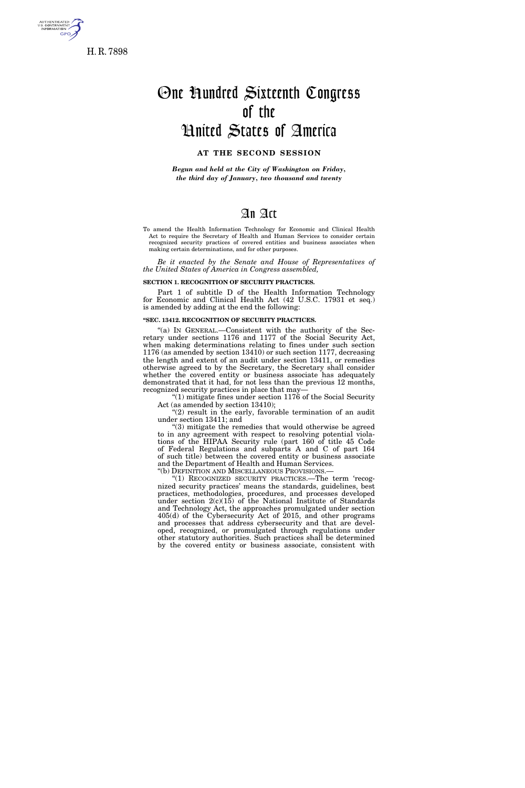

H. R. 7898

# One Hundred Sixteenth Congress of the United States of America

## **AT THE SECOND SESSION**

*Begun and held at the City of Washington on Friday, the third day of January, two thousand and twenty* 

# An Act

To amend the Health Information Technology for Economic and Clinical Health Act to require the Secretary of Health and Human Services to consider certain recognized security practices of covered entities and business associates when making certain determinations, and for other purposes.

*Be it enacted by the Senate and House of Representatives of the United States of America in Congress assembled,* 

#### **SECTION 1. RECOGNITION OF SECURITY PRACTICES.**

Part 1 of subtitle D of the Health Information Technology for Economic and Clinical Health Act (42 U.S.C. 17931 et seq.) is amended by adding at the end the following:

### **''SEC. 13412. RECOGNITION OF SECURITY PRACTICES.**

"(a) IN GENERAL.—Consistent with the authority of the Secretary under sections 1176 and 1177 of the Social Security Act, when making determinations relating to fines under such section 1176 (as amended by section 13410) or such section 1177, decreasing the length and extent of an audit under section 13411, or remedies otherwise agreed to by the Secretary, the Secretary shall consider whether the covered entity or business associate has adequately demonstrated that it had, for not less than the previous 12 months, recognized security practices in place that may—

''(1) mitigate fines under section 1176 of the Social Security Act (as amended by section 13410);

" $(2)$  result in the early, favorable termination of an audit under section 13411; and

''(3) mitigate the remedies that would otherwise be agreed to in any agreement with respect to resolving potential violations of the HIPAA Security rule (part 160 of title 45 Code of Federal Regulations and subparts A and C of part 164 of such title) between the covered entity or business associate and the Department of Health and Human Services.

''(b) DEFINITION AND MISCELLANEOUS PROVISIONS.—

"(1) RECOGNIZED SECURITY PRACTICES.—The term 'recognized security practices' means the standards, guidelines, best practices, methodologies, procedures, and processes developed under section  $2(c)(15)$  of the National Institute of Standards and Technology Act, the approaches promulgated under section 405(d) of the Cybersecurity Act of 2015, and other programs and processes that address cybersecurity and that are developed, recognized, or promulgated through regulations under other statutory authorities. Such practices shall be determined by the covered entity or business associate, consistent with